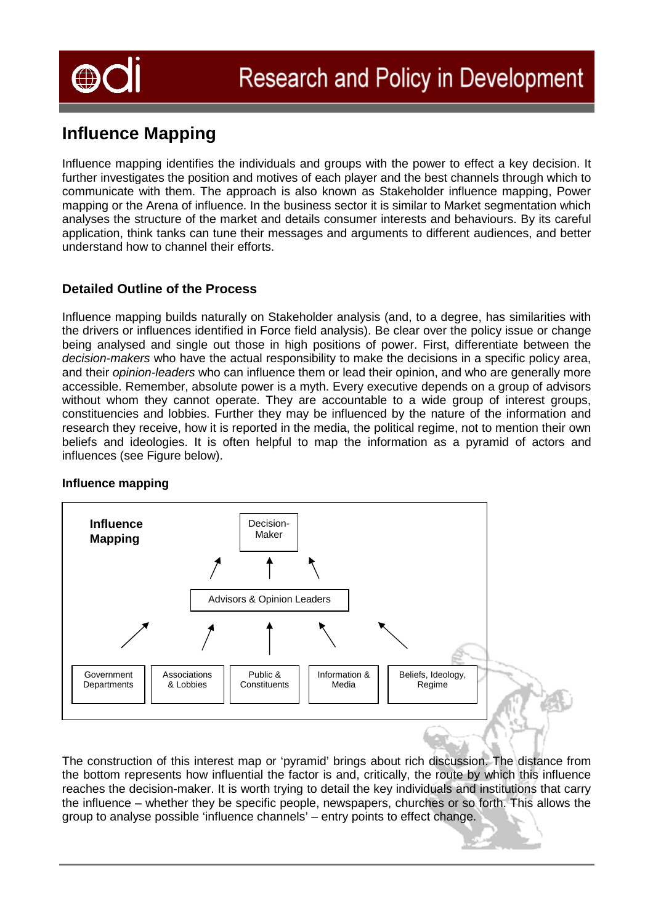

# **Influence Mapping**

Influence mapping identifies the individuals and groups with the power to effect a key decision. It further investigates the position and motives of each player and the best channels through which to communicate with them. The approach is also known as Stakeholder influence mapping, Power mapping or the Arena of influence. In the business sector it is similar to Market segmentation which analyses the structure of the market and details consumer interests and behaviours. By its careful application, think tanks can tune their messages and arguments to different audiences, and better understand how to channel their efforts.

### **Detailed Outline of the Process**

Influence mapping builds naturally on Stakeholder analysis (and, to a degree, has similarities with the drivers or influences identified in Force field analysis). Be clear over the policy issue or change being analysed and single out those in high positions of power. First, differentiate between the *decision-makers* who have the actual responsibility to make the decisions in a specific policy area, and their *opinion-leaders* who can influence them or lead their opinion, and who are generally more accessible. Remember, absolute power is a myth. Every executive depends on a group of advisors without whom they cannot operate. They are accountable to a wide group of interest groups, constituencies and lobbies. Further they may be influenced by the nature of the information and research they receive, how it is reported in the media, the political regime, not to mention their own beliefs and ideologies. It is often helpful to map the information as a pyramid of actors and influences (see Figure below).

#### **Influence mapping**



The construction of this interest map or 'pyramid' brings about rich discussion. The distance from the bottom represents how influential the factor is and, critically, the route by which this influence reaches the decision-maker. It is worth trying to detail the key individuals and institutions that carry the influence – whether they be specific people, newspapers, churches or so forth. This allows the group to analyse possible 'influence channels' – entry points to effect change.